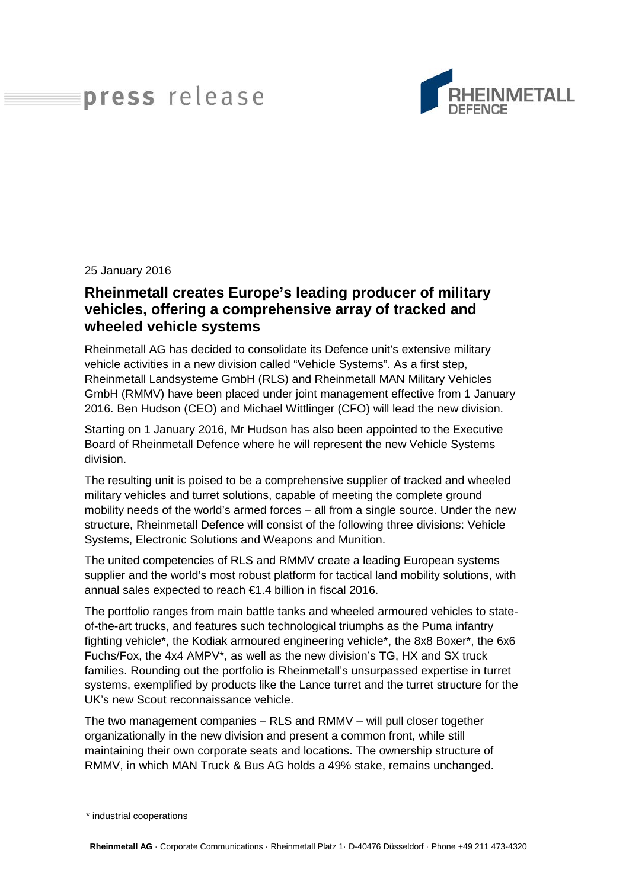## press release



## 25 January 2016

## **Rheinmetall creates Europe's leading producer of military vehicles, offering a comprehensive array of tracked and wheeled vehicle systems**

Rheinmetall AG has decided to consolidate its Defence unit's extensive military vehicle activities in a new division called "Vehicle Systems". As a first step, Rheinmetall Landsysteme GmbH (RLS) and Rheinmetall MAN Military Vehicles GmbH (RMMV) have been placed under joint management effective from 1 January 2016. Ben Hudson (CEO) and Michael Wittlinger (CFO) will lead the new division.

Starting on 1 January 2016, Mr Hudson has also been appointed to the Executive Board of Rheinmetall Defence where he will represent the new Vehicle Systems division.

The resulting unit is poised to be a comprehensive supplier of tracked and wheeled military vehicles and turret solutions, capable of meeting the complete ground mobility needs of the world's armed forces – all from a single source. Under the new structure, Rheinmetall Defence will consist of the following three divisions: Vehicle Systems, Electronic Solutions and Weapons and Munition.

The united competencies of RLS and RMMV create a leading European systems supplier and the world's most robust platform for tactical land mobility solutions, with annual sales expected to reach €1.4 billion in fiscal 2016.

The portfolio ranges from main battle tanks and wheeled armoured vehicles to stateof-the-art trucks, and features such technological triumphs as the Puma infantry fighting vehicle\*, the Kodiak armoured engineering vehicle\*, the 8x8 Boxer\*, the 6x6 Fuchs/Fox, the 4x4 AMPV\*, as well as the new division's TG, HX and SX truck families. Rounding out the portfolio is Rheinmetall's unsurpassed expertise in turret systems, exemplified by products like the Lance turret and the turret structure for the UK's new Scout reconnaissance vehicle.

The two management companies – RLS and RMMV – will pull closer together organizationally in the new division and present a common front, while still maintaining their own corporate seats and locations. The ownership structure of RMMV, in which MAN Truck & Bus AG holds a 49% stake, remains unchanged.

<sup>\*</sup> industrial cooperations